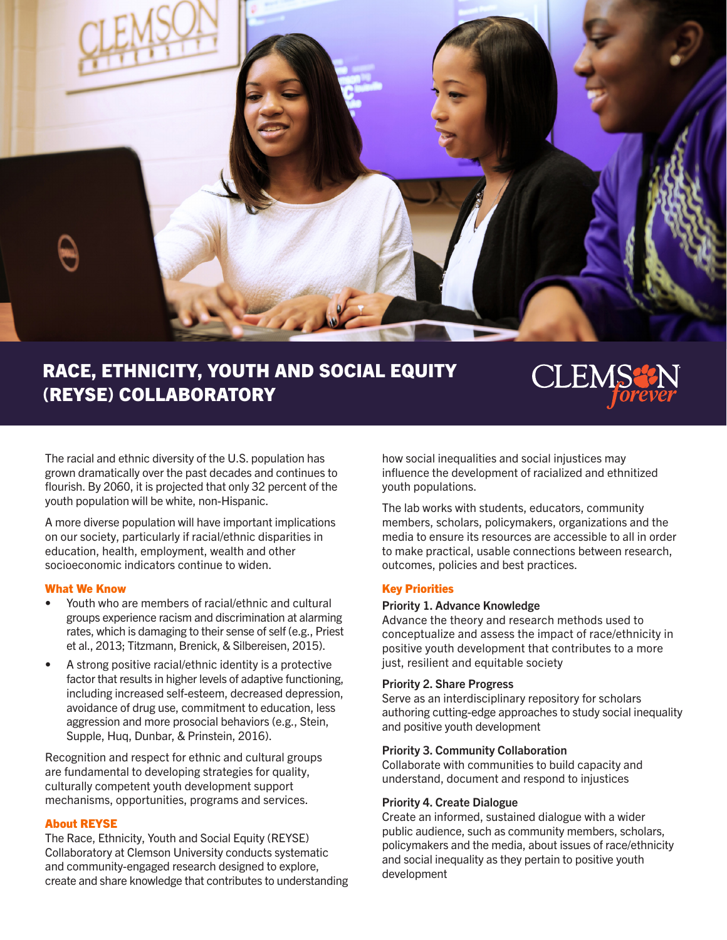

# RACE, ETHNICITY, YOUTH AND SOCIAL EQUITY (REYSE) COLLABORATORY



The racial and ethnic diversity of the U.S. population has grown dramatically over the past decades and continues to flourish. By 2060, it is projected that only 32 percent of the youth population will be white, non-Hispanic.

A more diverse population will have important implications on our society, particularly if racial/ethnic disparities in education, health, employment, wealth and other socioeconomic indicators continue to widen.

#### What We Know

- Youth who are members of racial/ethnic and cultural groups experience racism and discrimination at alarming rates, which is damaging to their sense of self (e.g., Priest et al., 2013; Titzmann, Brenick, & Silbereisen, 2015).
- A strong positive racial/ethnic identity is a protective factor that results in higher levels of adaptive functioning, including increased self-esteem, decreased depression, avoidance of drug use, commitment to education, less aggression and more prosocial behaviors (e.g., Stein, Supple, Huq, Dunbar, & Prinstein, 2016).

Recognition and respect for ethnic and cultural groups are fundamental to developing strategies for quality, culturally competent youth development support mechanisms, opportunities, programs and services.

### About REYSE

The Race, Ethnicity, Youth and Social Equity (REYSE) Collaboratory at Clemson University conducts systematic and community-engaged research designed to explore, create and share knowledge that contributes to understanding how social inequalities and social injustices may influence the development of racialized and ethnitized youth populations.

The lab works with students, educators, community members, scholars, policymakers, organizations and the media to ensure its resources are accessible to all in order to make practical, usable connections between research, outcomes, policies and best practices.

# Key Priorities

### Priority 1. Advance Knowledge

Advance the theory and research methods used to conceptualize and assess the impact of race/ethnicity in positive youth development that contributes to a more just, resilient and equitable society

### Priority 2. Share Progress

Serve as an interdisciplinary repository for scholars authoring cutting-edge approaches to study social inequality and positive youth development

### Priority 3. Community Collaboration

Collaborate with communities to build capacity and understand, document and respond to injustices

### Priority 4. Create Dialogue

Create an informed, sustained dialogue with a wider public audience, such as community members, scholars, policymakers and the media, about issues of race/ethnicity and social inequality as they pertain to positive youth development